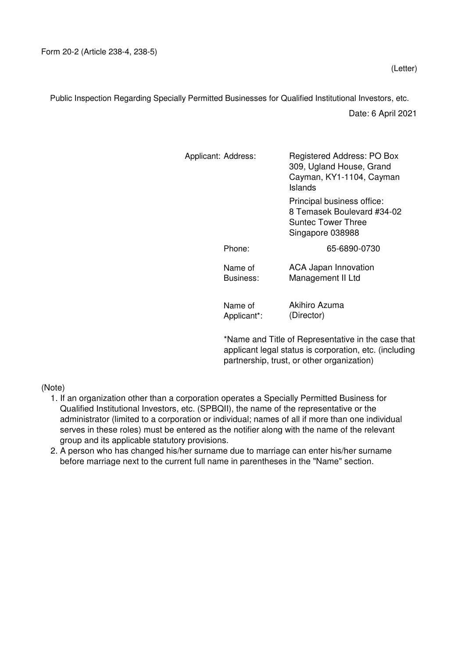Public Inspection Regarding Specially Permitted Businesses for Qualified Institutional Investors, etc.

Date: 6 April 2021

| Applicant: Address: |                        | Registered Address: PO Box<br>309, Ugland House, Grand<br>Cayman, KY1-1104, Cayman<br>Islands      |  |  |  |
|---------------------|------------------------|----------------------------------------------------------------------------------------------------|--|--|--|
|                     |                        | Principal business office:<br>8 Temasek Boulevard #34-02<br>Suntec Tower Three<br>Singapore 038988 |  |  |  |
|                     | Phone:                 | 65-6890-0730                                                                                       |  |  |  |
|                     | Name of<br>Business:   | <b>ACA Japan Innovation</b><br>Management II Ltd                                                   |  |  |  |
|                     | Name of<br>Applicant*: | Akihiro Azuma<br>(Director)                                                                        |  |  |  |

\*Name and Title of Representative in the case that applicant legal status is corporation, etc. (including partnership, trust, or other organization)

## (Note)

- 1. If an organization other than a corporation operates a Specially Permitted Business for Qualified Institutional Investors, etc. (SPBQII), the name of the representative or the administrator (limited to a corporation or individual; names of all if more than one individual serves in these roles) must be entered as the notifier along with the name of the relevant group and its applicable statutory provisions.
- 2. A person who has changed his/her surname due to marriage can enter his/her surname before marriage next to the current full name in parentheses in the "Name" section.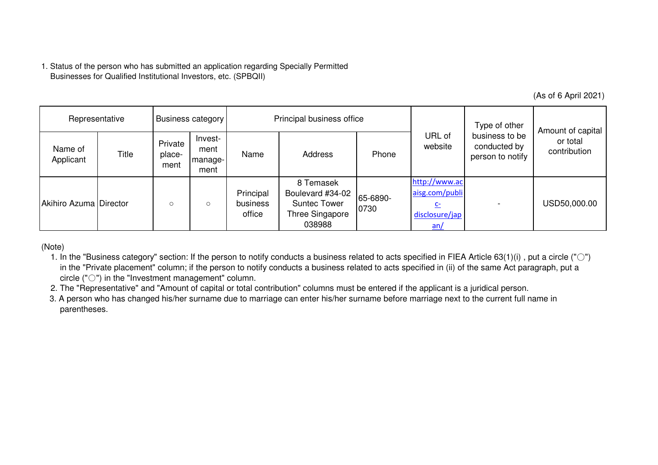|                                                                                                                                                                                                                                                                                                                                                                                                                                                                                                                                                                                                                                                                                                               | Businesses for Qualified Institutional Investors, etc. (SPBQII) |                           |                                    |                                        | 1. Status of the person who has submitted an application regarding Specially Permitted |                  |                                                                  |                                                    |                                               |
|---------------------------------------------------------------------------------------------------------------------------------------------------------------------------------------------------------------------------------------------------------------------------------------------------------------------------------------------------------------------------------------------------------------------------------------------------------------------------------------------------------------------------------------------------------------------------------------------------------------------------------------------------------------------------------------------------------------|-----------------------------------------------------------------|---------------------------|------------------------------------|----------------------------------------|----------------------------------------------------------------------------------------|------------------|------------------------------------------------------------------|----------------------------------------------------|-----------------------------------------------|
|                                                                                                                                                                                                                                                                                                                                                                                                                                                                                                                                                                                                                                                                                                               |                                                                 |                           |                                    |                                        |                                                                                        |                  |                                                                  |                                                    | (As of 6 April 2021)                          |
| Representative                                                                                                                                                                                                                                                                                                                                                                                                                                                                                                                                                                                                                                                                                                |                                                                 | <b>Business category</b>  |                                    | Principal business office              |                                                                                        |                  |                                                                  | Type of other                                      |                                               |
| Name of<br>Applicant                                                                                                                                                                                                                                                                                                                                                                                                                                                                                                                                                                                                                                                                                          | Title                                                           | Private<br>place-<br>ment | Invest-<br>ment<br>manage-<br>ment | Name                                   | Address                                                                                | Phone            | URL of<br>website                                                | business to be<br>conducted by<br>person to notify | Amount of capital<br>or total<br>contribution |
| Akihiro Azuma Director                                                                                                                                                                                                                                                                                                                                                                                                                                                                                                                                                                                                                                                                                        |                                                                 | $\circ$                   | $\circ$                            | Principal<br><b>business</b><br>office | 8 Temasek<br>Boulevard #34-02<br><b>Suntec Tower</b><br>Three Singapore<br>038988      | 65-6890-<br>0730 | http://www.ac<br>aisg.com/publi<br>$C-$<br>disclosure/jap<br>an/ |                                                    | USD50,000.00                                  |
| (Note)<br>1. In the "Business category" section: If the person to notify conducts a business related to acts specified in FIEA Article 63(1)(i), put a circle (" $\circ$ ")<br>in the "Private placement" column; if the person to notify conducts a business related to acts specified in (ii) of the same Act paragraph, put a<br>circle $("{\circlearrowright})$ in the "Investment management" column.<br>2. The "Representative" and "Amount of capital or total contribution" columns must be entered if the applicant is a juridical person.<br>3. A person who has changed his/her surname due to marriage can enter his/her surname before marriage next to the current full name in<br>parentheses. |                                                                 |                           |                                    |                                        |                                                                                        |                  |                                                                  |                                                    |                                               |

- 1. In the "Business category" section: If the person to notify conducts a business related to acts specified in FIEA Article 63(1)(i) , put a circle ("○")in the "Private placement" column; if the person to notify conducts a business related to acts specified in (ii) of the same Act paragraph, put a circle ("○") in the "Investment management" column.
- 2. The "Representative" and "Amount of capital or total contribution" columns must be entered if the applicant is a juridical person.
- 3. A person who has changed his/her surname due to marriage can enter his/her surname before marriage next to the current full name inparentheses.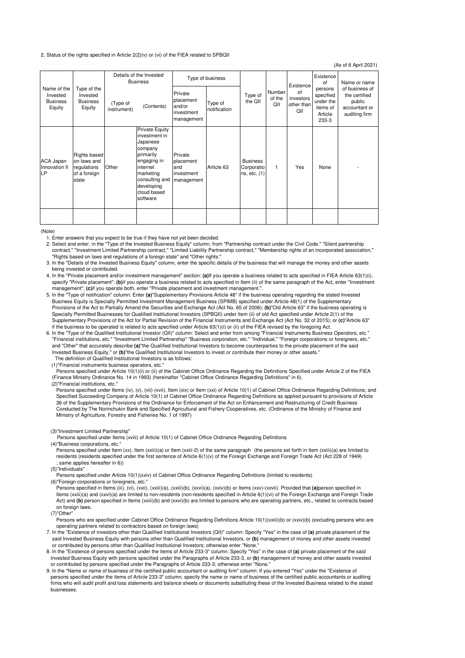## 2. Status of the rights specified in Article 2(2)(v) or (vi) of the FIEA related to SPBQII

(As of 6 April 2021)

| Name of the<br>Type of the<br>Invested<br>Invested<br><b>Business</b><br><b>Business</b><br>Equity<br>Equity |                                                                            | Details of the Invested<br><b>Business</b> |                                                                                                                                                                               | Type of business                                        |                    |                                               |                                                   |                                                                   | Existence<br>of                                                             | Name or name |
|--------------------------------------------------------------------------------------------------------------|----------------------------------------------------------------------------|--------------------------------------------|-------------------------------------------------------------------------------------------------------------------------------------------------------------------------------|---------------------------------------------------------|--------------------|-----------------------------------------------|---------------------------------------------------|-------------------------------------------------------------------|-----------------------------------------------------------------------------|--------------|
|                                                                                                              | (Type of<br>instrument)                                                    | (Contents)                                 | Private<br>placement<br>and/or<br>investment<br>management                                                                                                                    | Type of<br>notification                                 | Type of<br>the QII | Number<br>of the<br>QII                       | Existence<br>of<br>investors<br>other than<br>QII | persons<br>specified<br>under the<br>items of<br>Article<br>233-3 | of business of<br>the certified<br>public<br>accountant or<br>auditing firm |              |
| ACA Japan<br>Innovation II<br>LP                                                                             | <b>Rights based</b><br>on laws and<br>regulations<br>of a foreign<br>state | Other                                      | <b>Private Equity</b><br>investment in<br>Japanese<br>company<br>primarily<br>engaging in<br>internet<br>marketing<br>consulting and<br>developing<br>cloud based<br>software | Private<br>placement<br>and<br>investment<br>management | Article 63         | <b>Business</b><br>Corporatio<br>ns, etc. (1) | 1                                                 | Yes                                                               | None                                                                        |              |
|                                                                                                              |                                                                            |                                            |                                                                                                                                                                               |                                                         |                    |                                               |                                                   |                                                                   |                                                                             |              |

## (Note)

1. Enter answers that you expect to be true if they have not yet been decided.

 2. Select and enter, in the "Type of the Invested Business Equity" column, from "Partnership contract under the Civil Code," "Silent partnership contract," "Investment Limited Partnership contract," "Limited Liability Partnership contract," "Membership rights of an incorporated association," "Rights based on laws and regulations of a foreign state" and "Other rights."

 3. In the "Details of the Invested Business Equity" column, enter the specific details of the business that will manage the money and other assets being invested or contributed.

 4. In the "Private placement and/or investment management" section: **(a)**If you operate a business related to acts specified in FIEA Article 63(1)(i), specify "Private placement"; **(b)**if you operate a business related to acts specified in Item (ii) of the same paragraph of the Act, enter "Investment management"; **(c)**if you operate both, enter "Private placement and investment management.".

 5. In the "Type of notification" column: Enter **(a)**"Supplementary Provisions Article 48" if the business operating regarding the stated Invested Business Equity is Specially Permitted Investment Management Business (SPIMB) specified under Article 48(1) of the Supplementary Provisions of the Act to Partially Amend the Securities and Exchange Act (Act No. 65 of 2006); **(b)**"Old Article 63" if the business operating is Specially Permitted Businesses for Qualified Institutional Investors (SPBQII) under item (ii) of old Act specified under Article 2(1) of the Supplementary Provisions of the Act for Partial Revision of the Financial Instruments and Exchange Act (Act No. 32 of 2015); or **(c)**"Article 63" if the business to be operated is related to acts specified under Article 63(1)(i) or (ii) of the FIEA revised by the foregoing Act.

 6. In the "Type of the Qualified Institutional Investor (QII)" column: Select and enter from among "Financial Instruments Business Operators, etc." "Financial institutions, etc." "Investment Limited Partnership" "Business corporation, etc." "Individual," "Foreign corporations or foreigners, etc." and "Other" that accurately describe **(a)**"the Qualified Institutional Investors to become counterparties to the private placement of the said Invested Business Equity," or **(b)**"the Qualified Institutional Investors to invest or contribute their money or other assets." The definition of Qualified Institutional Investors is as follows:

(1)"Financial instruments business operators, etc."

 Persons specified under Article 10(1)(i) or (ii) of the Cabinet Office Ordinance Regarding the Definitions Specified under Article 2 of the FIEA (Finance Ministry Ordinance No. 14 in 1993) (hereinafter "Cabinet Office Ordinance Regarding Definitions" in 6).

(2)"Financial institutions, etc."

 Persons specified under Items (iv), (v), (vii)-(xvii), Item (xix) or Item (xxi) of Article 10(1) of Cabinet Office Ordinance Regarding Definitions; and Specified Succeeding Company of Article 10(1) of Cabinet Office Ordinance Regarding Definitions as applied pursuant to provisions of Article 36 of the Supplementary Provisions of the Ordinance for Enforcement of the Act on Enhancement and Restructuring of Credit Business Conducted by The Norinchukin Bank and Specified Agricultural and Fishery Cooperatives, etc. (Ordinance of the Ministry of Finance and Ministry of Agriculture, Forestry and Fisheries No. 1 of 1997)

(3)"Investment Limited Partnership"

Persons specified under Items (xviii) of Article 10(1) of Cabinet Office Ordinance Regarding Definitions

(4)"Business corporations, etc."

Persons specified under Item (xx), Item (xxiii)(a) or Item (xxiii-2) of the same paragraph (the persons set forth in Item (xxiii)(a) are limited to residents (residents specified under the first sentence of Article 6(1)(v) of the Foreign Exchange and Foreign Trade Act (Act 228 of 1949) ; same applies hereafter in 6))

(5)"Individuals"

 Persons specified under Article 10(1)(xxiv) of Cabinet Office Ordinance Regarding Definitions (limited to residents) (6)"Foreign corporations or foreigners, etc."

 Persons specified in Items (iii), (vi), (xxii), (xxiii)(a), (xxiii)(b), (xxvi)(a), (xxiv)(b) or Items (xxv)-(xxvii). Provided that **(a)**person specified in Items (xxiii)(a) and (xxvi)(a) are limited to non-residents (non-residents specified in Article 6(1)(vi) of the Foreign Exchange and Foreign Trade Act) and **(b)** person specified in Items (xxiii)(b) and (xxvi)(b) are limited to persons who are operating partners, etc., related to contracts based on foreign laws.

(7)"Other"

 Persons who are specified under Cabinet Office Ordinance Regarding Definitions Article 10(1)(xxiii)(b) or (xxiv)(b) (excluding persons who are operating partners related to contractors based on foreign laws)

 7. In the "Existence of investors other than Qualified Institutional Investors (QII)" column: Specify "Yes" in the case of **(a)** private placement of the said Invested Business Equity with persons other than Qualified Institutional Investors, or **(b)** management of money and other assets invested or contributed by persons other than Qualified Institutional Investors; otherwise enter "None."

 8. In the "Existence of persons specified under the items of Article 233-3" column: Specify "Yes" in the case of **(a)** private placement of the said Invested Business Equity with persons specified under the Paragraphs of Article 233-3, or **(b)** management of money and other assets invested or contributed by persons specified under the Paragraphs of Article 233-3; otherwise enter "None."

 9. In the "Name or name of business of the certified public accountant or auditing firm" column: If you entered "Yes" under the "Existence of persons specified under the items of Article 233-3" column, specify the name or name of business of the certified public accountants or auditing firms who will audit profit and loss statements and balance sheets or documents substituting these of the Invested Business related to the stated businesses.